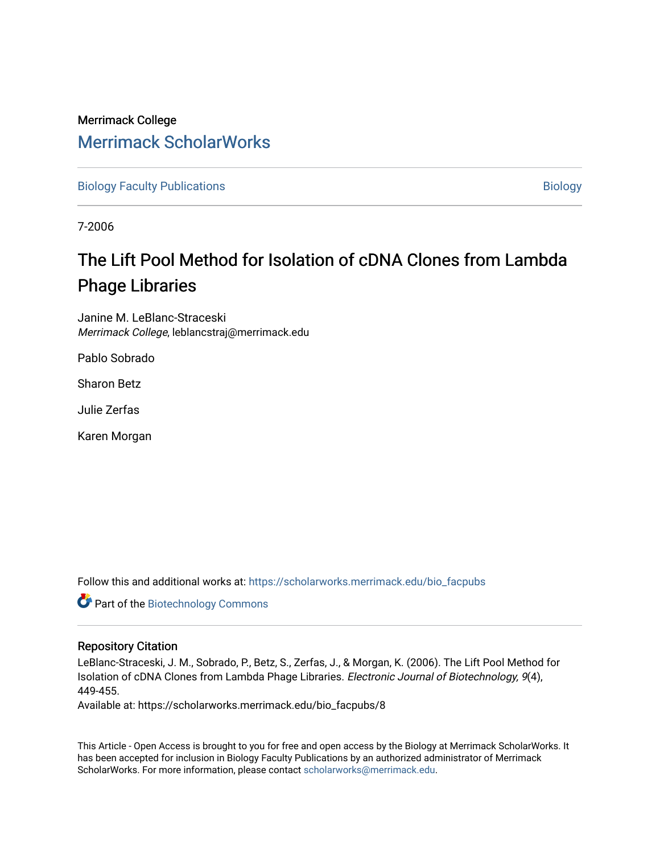# Merrimack College [Merrimack ScholarWorks](https://scholarworks.merrimack.edu/)

[Biology Faculty Publications](https://scholarworks.merrimack.edu/bio_facpubs) and the state of the state of the [Biology](https://scholarworks.merrimack.edu/bio) Biology

7-2006

# The Lift Pool Method for Isolation of cDNA Clones from Lambda Phage Libraries

Janine M. LeBlanc-Straceski Merrimack College, leblancstraj@merrimack.edu

Pablo Sobrado

Sharon Betz

Julie Zerfas

Karen Morgan

Follow this and additional works at: [https://scholarworks.merrimack.edu/bio\\_facpubs](https://scholarworks.merrimack.edu/bio_facpubs?utm_source=scholarworks.merrimack.edu%2Fbio_facpubs%2F8&utm_medium=PDF&utm_campaign=PDFCoverPages) 

Part of the [Biotechnology Commons](http://network.bepress.com/hgg/discipline/111?utm_source=scholarworks.merrimack.edu%2Fbio_facpubs%2F8&utm_medium=PDF&utm_campaign=PDFCoverPages)

# Repository Citation

LeBlanc-Straceski, J. M., Sobrado, P., Betz, S., Zerfas, J., & Morgan, K. (2006). The Lift Pool Method for Isolation of cDNA Clones from Lambda Phage Libraries. Electronic Journal of Biotechnology, 9(4), 449-455.

Available at: https://scholarworks.merrimack.edu/bio\_facpubs/8

This Article - Open Access is brought to you for free and open access by the Biology at Merrimack ScholarWorks. It has been accepted for inclusion in Biology Faculty Publications by an authorized administrator of Merrimack ScholarWorks. For more information, please contact [scholarworks@merrimack.edu.](mailto:scholarworks@merrimack.edu)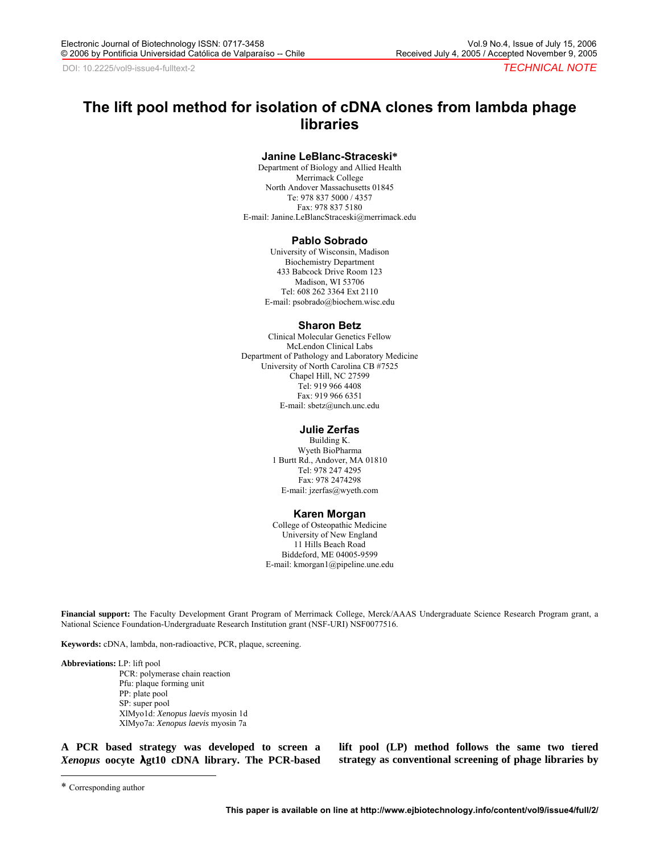# **The lift pool method for isolation of cDNA clones from lambda phage libraries**

#### **Janine LeBlanc-Straceski\***

Department of Biology and Allied Health Merrimack College North Andover Massachusetts 01845 Te: 978 837 5000 / 4357 Fax: 978 837 5180 E-mail: Janine.LeBlancStraceski@merrimack.edu

#### **Pablo Sobrado**

University of Wisconsin, Madison Biochemistry Department 433 Babcock Drive Room 123 Madison, WI 53706 Tel: 608 262 3364 Ext 2110 E-mail: psobrado@biochem.wisc.edu

#### **Sharon Betz**

Clinical Molecular Genetics Fellow McLendon Clinical Labs Department of Pathology and Laboratory Medicine University of North Carolina CB #7525 Chapel Hill, NC 27599 Tel: 919 966 4408 Fax: 919 966 6351 E-mail: sbetz@unch.unc.edu

#### **Julie Zerfas**

Building K. Wyeth BioPharma 1 Burtt Rd., Andover, MA 01810 Tel: 978 247 4295 Fax: 978 2474298 E-mail: jzerfas@wyeth.com

#### **Karen Morgan**

College of Osteopathic Medicine University of New England 11 Hills Beach Road Biddeford, ME 04005-9599 E-mail: kmorgan1@pipeline.une.edu

**Financial support:** The Faculty Development Grant Program of Merrimack College, Merck/AAAS Undergraduate Science Research Program grant, a National Science Foundation-Undergraduate Research Institution grant (NSF-URI) NSF0077516.

**Keywords:** cDNA, lambda, non-radioactive, PCR, plaque, screening.

**Abbreviations:** LP: lift pool

 PCR: polymerase chain reaction Pfu: plaque forming unit PP: plate pool SP: super pool XlMyo1d: *Xenopus laevis* myosin 1d XlMyo7a: *Xenopus laevis* myosin 7a

**A PCR based strategy was developed to screen a**  *Xenopus* **oocyte λgt10 cDNA library. The PCR-based**  **lift pool (LP) method follows the same two tiered strategy as conventional screening of phage libraries by** 

 $\overline{a}$ 

<sup>\*</sup> Corresponding author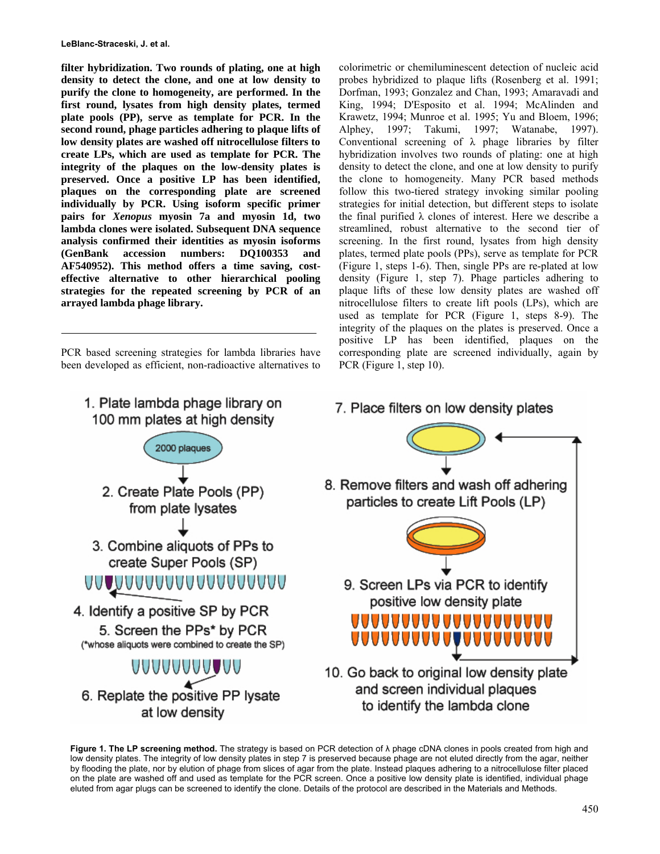**filter hybridization. Two rounds of plating, one at high density to detect the clone, and one at low density to purify the clone to homogeneity, are performed. In the first round, lysates from high density plates, termed plate pools (PP), serve as template for PCR. In the second round, phage particles adhering to plaque lifts of low density plates are washed off nitrocellulose filters to create LPs, which are used as template for PCR. The integrity of the plaques on the low-density plates is preserved. Once a positive LP has been identified, plaques on the corresponding plate are screened individually by PCR. Using isoform specific primer pairs for** *Xenopus* **myosin 7a and myosin 1d, two lambda clones were isolated. Subsequent DNA sequence analysis confirmed their identities as myosin isoforms (GenBank accession numbers: DQ100353 and AF540952). This method offers a time saving, costeffective alternative to other hierarchical pooling strategies for the repeated screening by PCR of an arrayed lambda phage library.** 

PCR based screening strategies for lambda libraries have been developed as efficient, non-radioactive alternatives to colorimetric or chemiluminescent detection of nucleic acid probes hybridized to plaque lifts (Rosenberg et al. 1991; Dorfman, 1993; Gonzalez and Chan, 1993; Amaravadi and King, 1994; D'Esposito et al. 1994; McAlinden and Krawetz, 1994; Munroe et al. 1995; Yu and Bloem, 1996; Alphey, 1997; Takumi, 1997; Watanabe, 1997). Conventional screening of  $\lambda$  phage libraries by filter hybridization involves two rounds of plating: one at high density to detect the clone, and one at low density to purify the clone to homogeneity. Many PCR based methods follow this two-tiered strategy invoking similar pooling strategies for initial detection, but different steps to isolate the final purified  $λ$  clones of interest. Here we describe a streamlined, robust alternative to the second tier of screening. In the first round, lysates from high density plates, termed plate pools (PPs), serve as template for PCR (Figure 1, steps 1-6). Then, single PPs are re-plated at low density (Figure 1, step 7). Phage particles adhering to plaque lifts of these low density plates are washed off nitrocellulose filters to create lift pools (LPs), which are used as template for PCR (Figure 1, steps 8-9). The integrity of the plaques on the plates is preserved. Once a positive LP has been identified, plaques on the corresponding plate are screened individually, again by PCR (Figure 1, step 10).



**Figure 1. The LP screening method.** The strategy is based on PCR detection of λ phage cDNA clones in pools created from high and low density plates. The integrity of low density plates in step 7 is preserved because phage are not eluted directly from the agar, neither by flooding the plate, nor by elution of phage from slices of agar from the plate. Instead plaques adhering to a nitrocellulose filter placed on the plate are washed off and used as template for the PCR screen. Once a positive low density plate is identified, individual phage eluted from agar plugs can be screened to identify the clone. Details of the protocol are described in the Materials and Methods.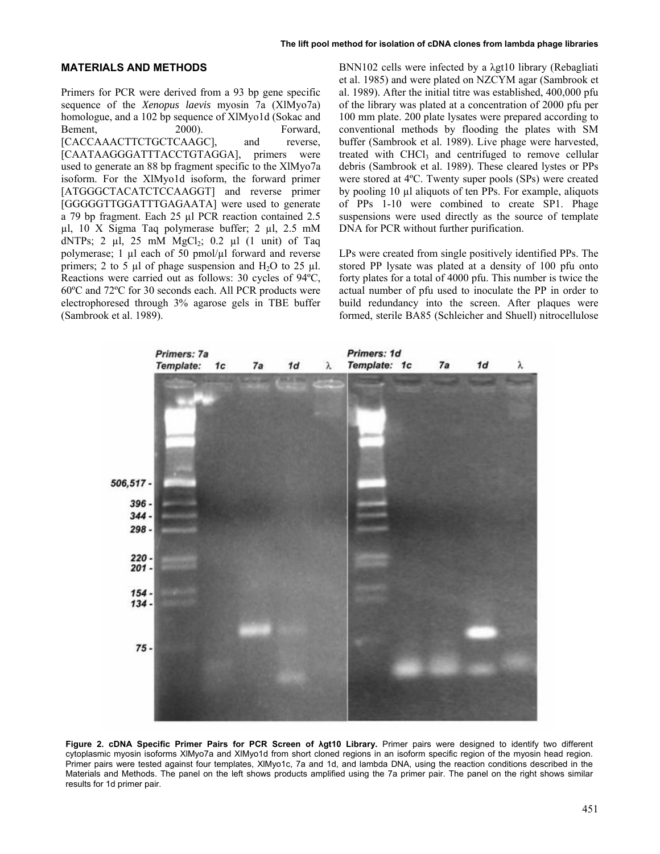### **MATERIALS AND METHODS**

Primers for PCR were derived from a 93 bp gene specific sequence of the *Xenopus laevis* myosin 7a (XlMyo7a) homologue, and a 102 bp sequence of XlMyo1d (Sokac and Bement, 2000). Forward, [CACCAAACTTCTGCTCAAGC], and reverse, [CAATAAGGGATTTACCTGTAGGA], primers were used to generate an 88 bp fragment specific to the XlMyo7a isoform. For the XlMyo1d isoform, the forward primer [ATGGGCTACATCTCCAAGGT] and reverse primer [GGGGGTTGGATTTGAGAATA] were used to generate a 79 bp fragment. Each 25 µl PCR reaction contained 2.5 µl, 10 X Sigma Taq polymerase buffer; 2 µl, 2.5 mM dNTPs; 2  $\mu$ l, 25 mM MgCl<sub>2</sub>; 0.2  $\mu$ l (1 unit) of Taq polymerase; 1  $\mu$ l each of 50 pmol/ $\mu$ l forward and reverse primers; 2 to 5  $\mu$ l of phage suspension and H<sub>2</sub>O to 25  $\mu$ l. Reactions were carried out as follows: 30 cycles of 94ºC, 60ºC and 72ºC for 30 seconds each. All PCR products were electrophoresed through 3% agarose gels in TBE buffer (Sambrook et al. 1989).

BNN102 cells were infected by a λgt10 library (Rebagliati et al. 1985) and were plated on NZCYM agar (Sambrook et al. 1989). After the initial titre was established, 400,000 pfu of the library was plated at a concentration of 2000 pfu per 100 mm plate. 200 plate lysates were prepared according to conventional methods by flooding the plates with SM buffer (Sambrook et al. 1989). Live phage were harvested, treated with  $CHCl<sub>3</sub>$  and centrifuged to remove cellular debris (Sambrook et al. 1989). These cleared lystes or PPs were stored at 4ºC. Twenty super pools (SPs) were created by pooling 10 µl aliquots of ten PPs. For example, aliquots of PPs 1-10 were combined to create SP1. Phage suspensions were used directly as the source of template DNA for PCR without further purification.

LPs were created from single positively identified PPs. The stored PP lysate was plated at a density of 100 pfu onto forty plates for a total of 4000 pfu. This number is twice the actual number of pfu used to inoculate the PP in order to build redundancy into the screen. After plaques were formed, sterile BA85 (Schleicher and Shuell) nitrocellulose



**Figure 2. cDNA Specific Primer Pairs for PCR Screen of λgt10 Library.** Primer pairs were designed to identify two different cytoplasmic myosin isoforms XlMyo7a and XlMyo1d from short cloned regions in an isoform specific region of the myosin head region. Primer pairs were tested against four templates, XlMyo1c, 7a and 1d, and lambda DNA, using the reaction conditions described in the Materials and Methods. The panel on the left shows products amplified using the 7a primer pair. The panel on the right shows similar results for 1d primer pair.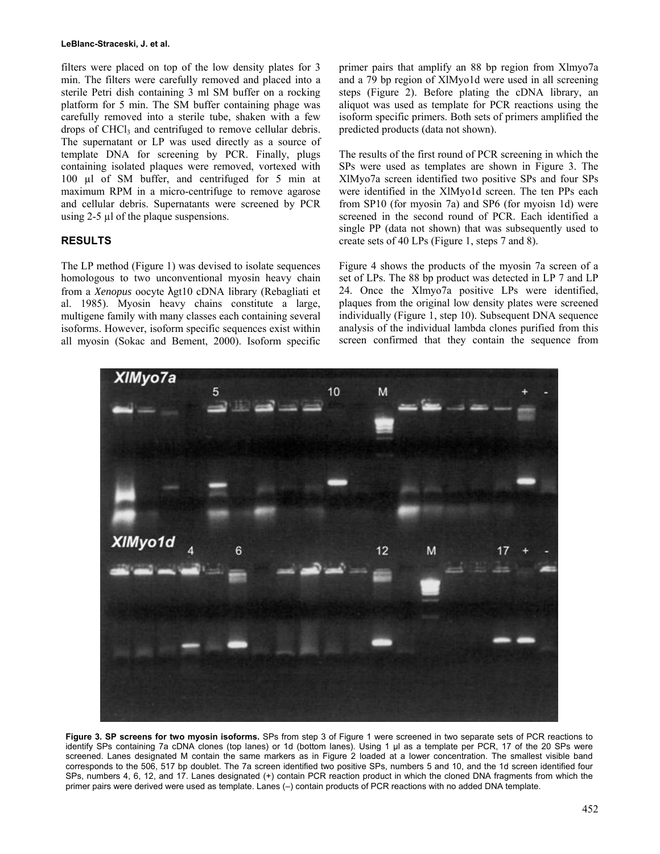#### **LeBlanc-Straceski, J. et al.**

filters were placed on top of the low density plates for 3 min. The filters were carefully removed and placed into a sterile Petri dish containing 3 ml SM buffer on a rocking platform for 5 min. The SM buffer containing phage was carefully removed into a sterile tube, shaken with a few drops of CHCl<sub>3</sub> and centrifuged to remove cellular debris. The supernatant or LP was used directly as a source of template DNA for screening by PCR. Finally, plugs containing isolated plaques were removed, vortexed with 100 µl of SM buffer, and centrifuged for 5 min at maximum RPM in a micro-centrifuge to remove agarose and cellular debris. Supernatants were screened by PCR using 2-5 µl of the plaque suspensions.

## **RESULTS**

The LP method (Figure 1) was devised to isolate sequences homologous to two unconventional myosin heavy chain from a *Xenopus* oocyte λgt10 cDNA library (Rebagliati et al. 1985). Myosin heavy chains constitute a large, multigene family with many classes each containing several isoforms. However, isoform specific sequences exist within all myosin (Sokac and Bement, 2000). Isoform specific primer pairs that amplify an 88 bp region from Xlmyo7a and a 79 bp region of XlMyo1d were used in all screening steps (Figure 2). Before plating the cDNA library, an aliquot was used as template for PCR reactions using the isoform specific primers. Both sets of primers amplified the predicted products (data not shown).

The results of the first round of PCR screening in which the SPs were used as templates are shown in Figure 3. The XlMyo7a screen identified two positive SPs and four SPs were identified in the XlMyo1d screen. The ten PPs each from SP10 (for myosin 7a) and SP6 (for myoisn 1d) were screened in the second round of PCR. Each identified a single PP (data not shown) that was subsequently used to create sets of 40 LPs (Figure 1, steps 7 and 8).

Figure 4 shows the products of the myosin 7a screen of a set of LPs. The 88 bp product was detected in LP 7 and LP 24. Once the Xlmyo7a positive LPs were identified, plaques from the original low density plates were screened individually (Figure 1, step 10). Subsequent DNA sequence analysis of the individual lambda clones purified from this screen confirmed that they contain the sequence from



**Figure 3. SP screens for two myosin isoforms.** SPs from step 3 of Figure 1 were screened in two separate sets of PCR reactions to identify SPs containing 7a cDNA clones (top lanes) or 1d (bottom lanes). Using 1 µl as a template per PCR, 17 of the 20 SPs were screened. Lanes designated M contain the same markers as in Figure 2 loaded at a lower concentration. The smallest visible band corresponds to the 506, 517 bp doublet. The 7a screen identified two positive SPs, numbers 5 and 10, and the 1d screen identified four SPs, numbers 4, 6, 12, and 17. Lanes designated (+) contain PCR reaction product in which the cloned DNA fragments from which the primer pairs were derived were used as template. Lanes (–) contain products of PCR reactions with no added DNA template.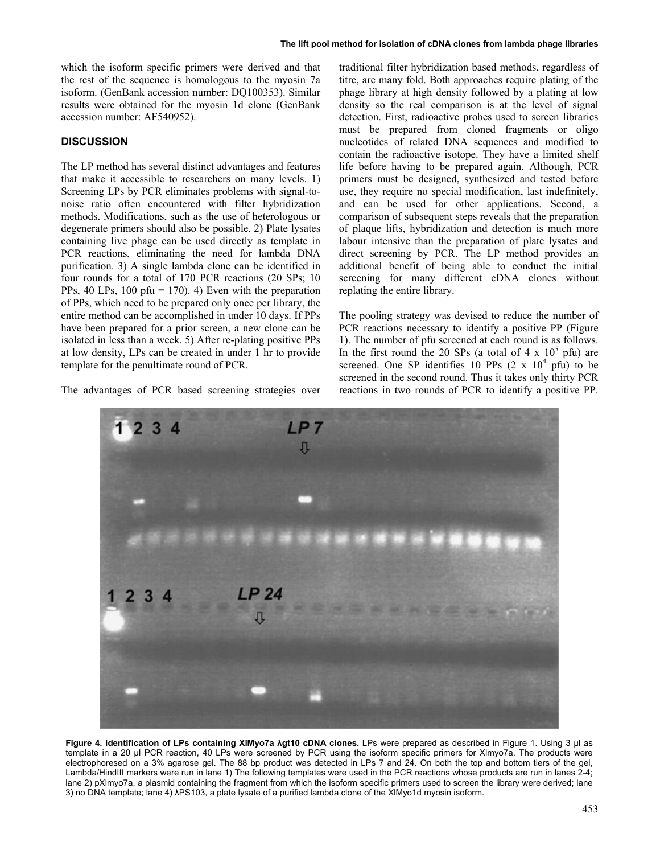which the isoform specific primers were derived and that the rest of the sequence is homologous to the myosin 7a isoform. (GenBank accession number: DQ100353). Similar results were obtained for the myosin 1d clone (GenBank accession number: AF540952).

# **DISCUSSION**

The LP method has several distinct advantages and features that make it accessible to researchers on many levels. 1) Screening LPs by PCR eliminates problems with signal-tonoise ratio often encountered with filter hybridization methods. Modifications, such as the use of heterologous or degenerate primers should also be possible. 2) Plate lysates containing live phage can be used directly as template in PCR reactions, eliminating the need for lambda DNA purification. 3) A single lambda clone can be identified in four rounds for a total of 170 PCR reactions (20 SPs; 10 PPs, 40 LPs, 100 pfu = 170). 4) Even with the preparation of PPs, which need to be prepared only once per library, the entire method can be accomplished in under 10 days. If PPs have been prepared for a prior screen, a new clone can be isolated in less than a week. 5) After re-plating positive PPs at low density, LPs can be created in under 1 hr to provide template for the penultimate round of PCR.

The advantages of PCR based screening strategies over

traditional filter hybridization based methods, regardless of titre, are many fold. Both approaches require plating of the phage library at high density followed by a plating at low density so the real comparison is at the level of signal detection. First, radioactive probes used to screen libraries must be prepared from cloned fragments or oligo nucleotides of related DNA sequences and modified to contain the radioactive isotope. They have a limited shelf life before having to be prepared again. Although, PCR primers must be designed, synthesized and tested before use, they require no special modification, last indefinitely, and can be used for other applications. Second, a comparison of subsequent steps reveals that the preparation of plaque lifts, hybridization and detection is much more labour intensive than the preparation of plate lysates and direct screening by PCR. The LP method provides an additional benefit of being able to conduct the initial screening for many different cDNA clones without replating the entire library.

The pooling strategy was devised to reduce the number of PCR reactions necessary to identify a positive PP (Figure 1). The number of pfu screened at each round is as follows. In the first round the 20 SPs (a total of  $4 \times 10^5$  pfu) are screened. One SP identifies 10 PPs  $(2 \times 10^4 \text{ pfu})$  to be screened in the second round. Thus it takes only thirty PCR reactions in two rounds of PCR to identify a positive PP.



**Figure 4. Identification of LPs containing XlMyo7a λgt10 cDNA clones.** LPs were prepared as described in Figure 1. Using 3 µl as template in a 20 µl PCR reaction, 40 LPs were screened by PCR using the isoform specific primers for Xlmyo7a. The products were electrophoresed on a 3% agarose gel. The 88 bp product was detected in LPs 7 and 24. On both the top and bottom tiers of the gel, Lambda/HindIII markers were run in lane 1) The following templates were used in the PCR reactions whose products are run in lanes 2-4; lane 2) pXlmyo7a, a plasmid containing the fragment from which the isoform specific primers used to screen the library were derived; lane 3) no DNA template; lane 4) λPS103, a plate lysate of a purified lambda clone of the XlMyo1d myosin isoform.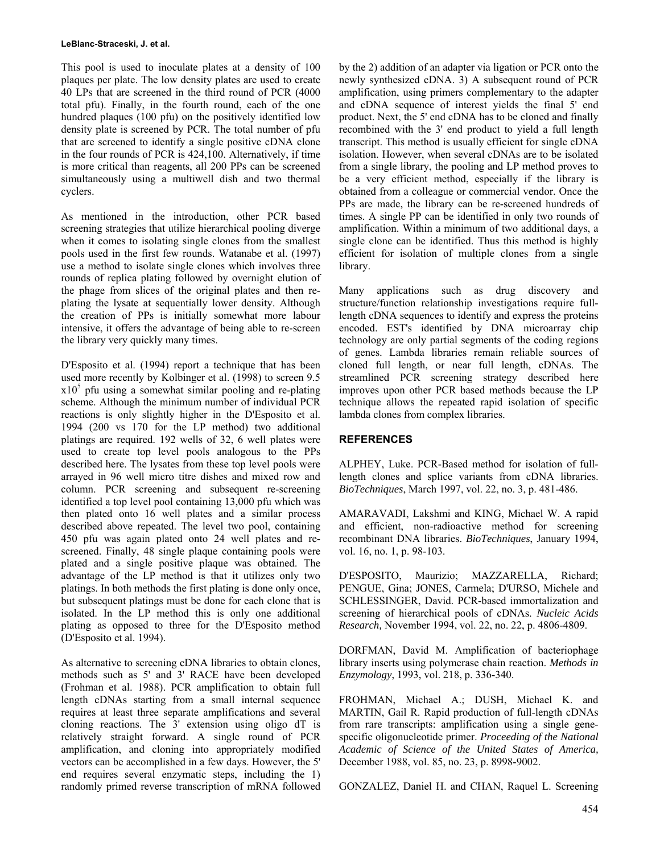#### **LeBlanc-Straceski, J. et al.**

This pool is used to inoculate plates at a density of 100 plaques per plate. The low density plates are used to create 40 LPs that are screened in the third round of PCR (4000 total pfu). Finally, in the fourth round, each of the one hundred plaques (100 pfu) on the positively identified low density plate is screened by PCR. The total number of pfu that are screened to identify a single positive cDNA clone in the four rounds of PCR is 424,100. Alternatively, if time is more critical than reagents, all 200 PPs can be screened simultaneously using a multiwell dish and two thermal cyclers.

As mentioned in the introduction, other PCR based screening strategies that utilize hierarchical pooling diverge when it comes to isolating single clones from the smallest pools used in the first few rounds. Watanabe et al. (1997) use a method to isolate single clones which involves three rounds of replica plating followed by overnight elution of the phage from slices of the original plates and then replating the lysate at sequentially lower density. Although the creation of PPs is initially somewhat more labour intensive, it offers the advantage of being able to re-screen the library very quickly many times.

D'Esposito et al. (1994) report a technique that has been used more recently by Kolbinger et al. (1998) to screen 9.5  $x10<sup>5</sup>$  pfu using a somewhat similar pooling and re-plating scheme. Although the minimum number of individual PCR reactions is only slightly higher in the D'Esposito et al. 1994 (200 vs 170 for the LP method) two additional platings are required. 192 wells of 32, 6 well plates were used to create top level pools analogous to the PPs described here. The lysates from these top level pools were arrayed in 96 well micro titre dishes and mixed row and column. PCR screening and subsequent re-screening identified a top level pool containing 13,000 pfu which was then plated onto 16 well plates and a similar process described above repeated. The level two pool, containing 450 pfu was again plated onto 24 well plates and rescreened. Finally, 48 single plaque containing pools were plated and a single positive plaque was obtained. The advantage of the LP method is that it utilizes only two platings. In both methods the first plating is done only once, but subsequent platings must be done for each clone that is isolated. In the LP method this is only one additional plating as opposed to three for the D'Esposito method (D'Esposito et al. 1994).

As alternative to screening cDNA libraries to obtain clones, methods such as 5' and 3' RACE have been developed (Frohman et al. 1988). PCR amplification to obtain full length cDNAs starting from a small internal sequence requires at least three separate amplifications and several cloning reactions. The 3' extension using oligo dT is relatively straight forward. A single round of PCR amplification, and cloning into appropriately modified vectors can be accomplished in a few days. However, the 5' end requires several enzymatic steps, including the 1) randomly primed reverse transcription of mRNA followed by the 2) addition of an adapter via ligation or PCR onto the newly synthesized cDNA. 3) A subsequent round of PCR amplification, using primers complementary to the adapter and cDNA sequence of interest yields the final 5' end product. Next, the 5' end cDNA has to be cloned and finally recombined with the 3' end product to yield a full length transcript. This method is usually efficient for single cDNA isolation. However, when several cDNAs are to be isolated from a single library, the pooling and LP method proves to be a very efficient method, especially if the library is obtained from a colleague or commercial vendor. Once the PPs are made, the library can be re-screened hundreds of times. A single PP can be identified in only two rounds of amplification. Within a minimum of two additional days, a single clone can be identified. Thus this method is highly efficient for isolation of multiple clones from a single library.

Many applications such as drug discovery and structure/function relationship investigations require fulllength cDNA sequences to identify and express the proteins encoded. EST's identified by DNA microarray chip technology are only partial segments of the coding regions of genes. Lambda libraries remain reliable sources of cloned full length, or near full length, cDNAs. The streamlined PCR screening strategy described here improves upon other PCR based methods because the LP technique allows the repeated rapid isolation of specific lambda clones from complex libraries.

## **REFERENCES**

ALPHEY, Luke. PCR-Based method for isolation of fulllength clones and splice variants from cDNA libraries. *BioTechniques*, March 1997, vol. 22, no. 3, p. 481-486.

AMARAVADI, Lakshmi and KING, Michael W. A rapid and efficient, non-radioactive method for screening recombinant DNA libraries. *BioTechniques*, January 1994, vol. 16, no. 1, p. 98-103.

D'ESPOSITO, Maurizio; MAZZARELLA, Richard; PENGUE, Gina; JONES, Carmela; D'URSO, Michele and SCHLESSINGER, David. PCR-based immortalization and screening of hierarchical pools of cDNAs. *Nucleic Acids Research,* November 1994, vol. 22, no. 22, p. 4806-4809.

DORFMAN, David M. Amplification of bacteriophage library inserts using polymerase chain reaction. *Methods in Enzymology*, 1993, vol. 218, p. 336-340.

FROHMAN, Michael A.; DUSH, Michael K. and MARTIN, Gail R. Rapid production of full-length cDNAs from rare transcripts: amplification using a single genespecific oligonucleotide primer. *Proceeding of the National Academic of Science of the United States of America,*  December 1988, vol. 85, no. 23, p. 8998-9002.

GONZALEZ, Daniel H. and CHAN, Raquel L. Screening